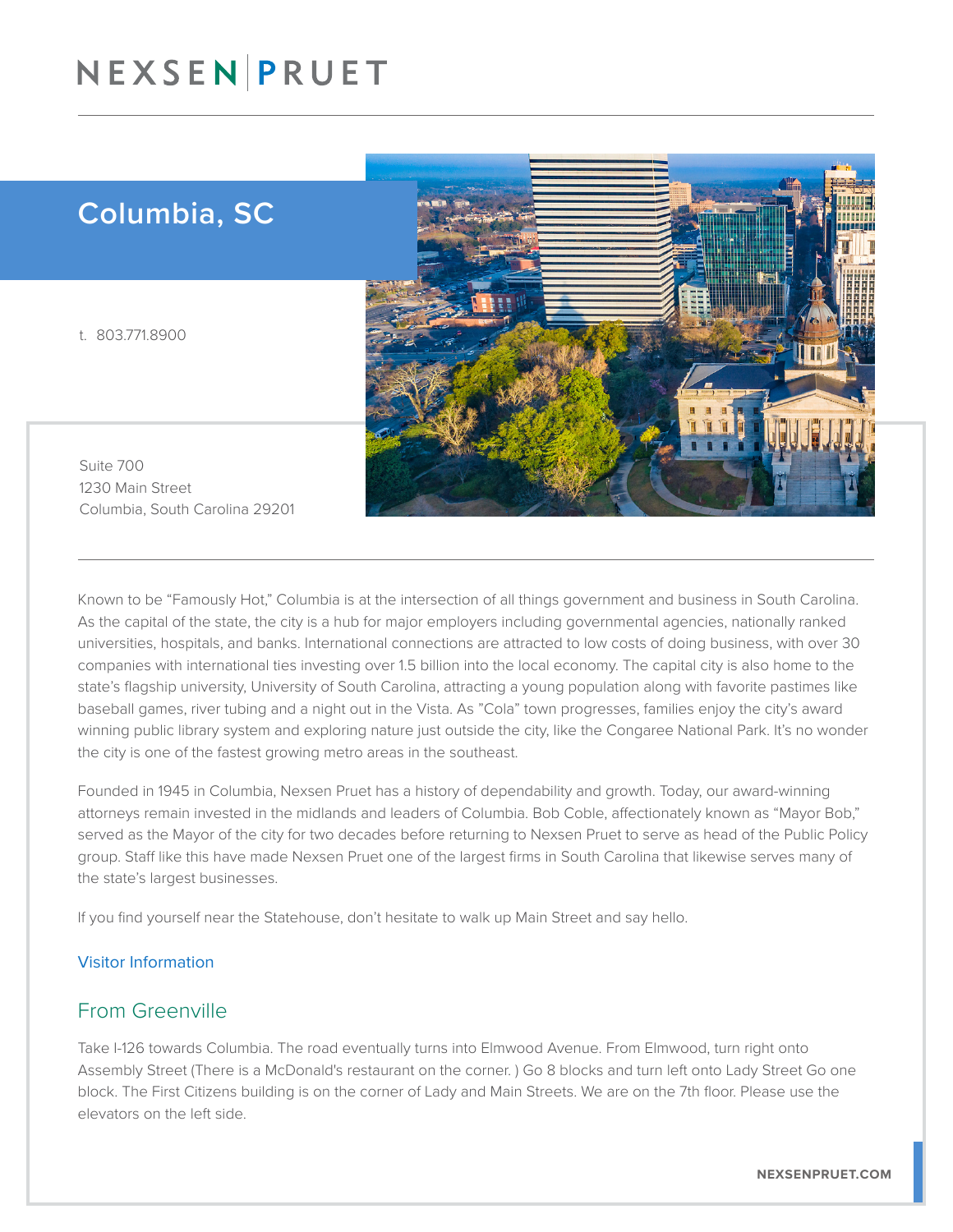## NEXSENPRUET

## Columbia, SC

t. 803.771.8900



Suite 700 1230 Main Street Columbia, South Carolina 29201

Known to be "Famously Hot," Columbia is at the intersection of all things government and business in South Carolina. As the capital of the state, the city is a hub for major employers including governmental agencies, nationally ranked universities, hospitals, and banks. International connections are attracted to low costs of doing business, with over 30 companies with international ties investing over 1.5 billion into the local economy. The capital city is also home to the state's flagship university, University of South Carolina, attracting a young population along with favorite pastimes like baseball games, river tubing and a night out in the Vista. As "Cola" town progresses, families enjoy the city's award winning public library system and exploring nature just outside the city, like the Congaree National Park. It's no wonder the city is one of the fastest growing metro areas in the southeast.

Founded in 1945 in Columbia, Nexsen Pruet has a history of dependability and growth. Today, our award-winning attorneys remain invested in the midlands and leaders of Columbia. Bob Coble, affectionately known as "Mayor Bob," served as the Mayor of the city for two decades before returning to Nexsen Pruet to serve as head of the Public Policy group. Staff like this have made Nexsen Pruet one of the largest firms in South Carolina that likewise serves many of the state's largest businesses.

If you find yourself near the Statehouse, don't hesitate to walk up Main Street and say hello.

#### Visitor Information

#### From Greenville

Take I-126 towards Columbia. The road eventually turns into Elmwood Avenue. From Elmwood, turn right onto Assembly Street (There is a McDonald's restaurant on the corner. ) Go 8 blocks and turn left onto Lady Street Go one block. The First Citizens building is on the corner of Lady and Main Streets. We are on the 7th floor. Please use the elevators on the left side.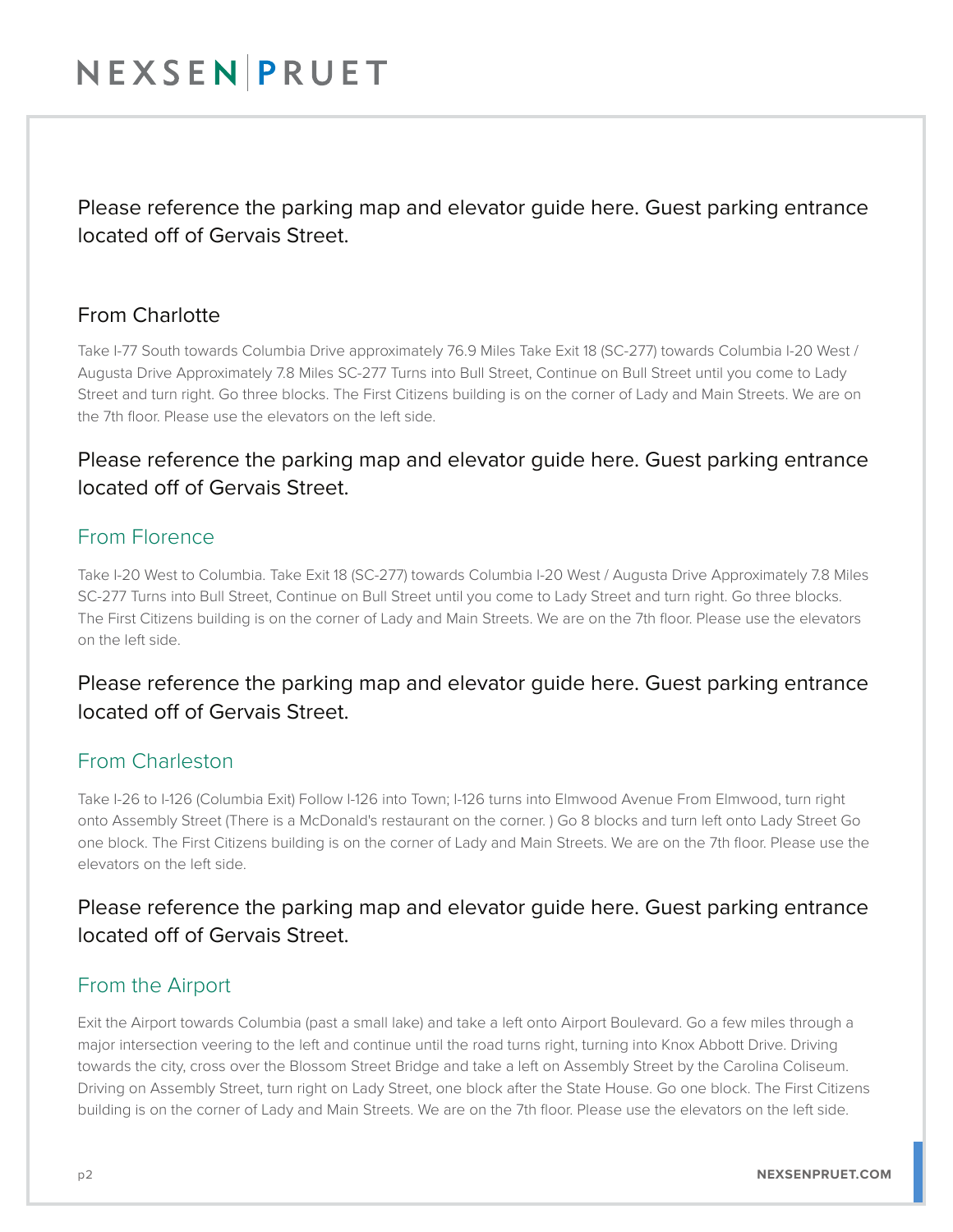## NEXSENPRUET

Please reference the parking map and elevator guide here. Guest parking entrance located off of Gervais Street.

#### From Charlotte

Take I-77 South towards Columbia Drive approximately 76.9 Miles Take Exit 18 (SC-277) towards Columbia I-20 West / Augusta Drive Approximately 7.8 Miles SC-277 Turns into Bull Street, Continue on Bull Street until you come to Lady Street and turn right. Go three blocks. The First Citizens building is on the corner of Lady and Main Streets. We are on the 7th floor. Please use the elevators on the left side.

### Please reference the parking map and elevator guide here. Guest parking entrance located off of Gervais Street.

### From Florence

Take I-20 West to Columbia. Take Exit 18 (SC-277) towards Columbia I-20 West / Augusta Drive Approximately 7.8 Miles SC-277 Turns into Bull Street, Continue on Bull Street until you come to Lady Street and turn right. Go three blocks. The First Citizens building is on the corner of Lady and Main Streets. We are on the 7th floor. Please use the elevators on the left side.

### Please reference the parking map and elevator guide here. Guest parking entrance located off of Gervais Street.

#### From Charleston

Take I-26 to I-126 (Columbia Exit) Follow I-126 into Town; I-126 turns into Elmwood Avenue From Elmwood, turn right onto Assembly Street (There is a McDonald's restaurant on the corner. ) Go 8 blocks and turn left onto Lady Street Go one block. The First Citizens building is on the corner of Lady and Main Streets. We are on the 7th floor. Please use the elevators on the left side.

### Please reference the parking map and elevator guide here. Guest parking entrance located off of Gervais Street.

### From the Airport

Exit the Airport towards Columbia (past a small lake) and take a left onto Airport Boulevard. Go a few miles through a major intersection veering to the left and continue until the road turns right, turning into Knox Abbott Drive. Driving towards the city, cross over the Blossom Street Bridge and take a left on Assembly Street by the Carolina Coliseum. Driving on Assembly Street, turn right on Lady Street, one block after the State House. Go one block. The First Citizens building is on the corner of Lady and Main Streets. We are on the 7th floor. Please use the elevators on the left side.